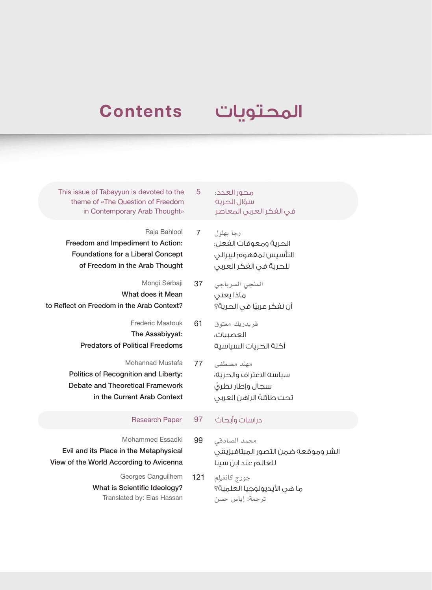# **Contents**

## المحتويات

This issue of Tabayyun is devoted to the 5 theme of «The Question of Freedom in Contemporary Arab Thought»

Raja Bahlool 7 Freedom and Impediment to Action: Foundations for a Liberal Concept of Freedom in the Arab Thought

Mongi Serbaji 37 What does it Mean to Reflect on Freedom in the Arab Context?

> Frederic Maatouk 61 The Assabiyyat: Predators of Political Freedoms

Mohannad Mustafa 77 Politics of Recognition and Liberty: Debate and Theoretical Framework in the Current Arab Context

### دراسات وأبحاث 97 Paper Research

Mohammed Essadki 99 Evil and its Place in the Metaphysical View of the World According to Avicenna

> Georges Canguilhem 121 What is Scientific Ideology? Translated by: Eias Hassan

محور العدد: سؤال الحرية في الفكر العربي المعاصر

رجا بهلول الحرية ومعوقات الفعل: التأسيس لمفهوم ليبرالي للحرية في الفكر العربي

المنجي السرباجي ماذا يعني ً أن نفكر عربيا في الحرية؟

فريدريك معتوق العصبيات: آكلة الحريات السياسية

مهند مصطفى سياسة االعتراف والحرية: ّ سجال وإطار نظري تحت طائلة الراهن العربي

محمد الصادقي الشر وموقعه ضمن التصور الميتافيزيقي للعالم عند ابن سينا

ِم جورج كانغيل ما هي الأيديولوجيا العلمية؟ ترجمة: إياس حسن